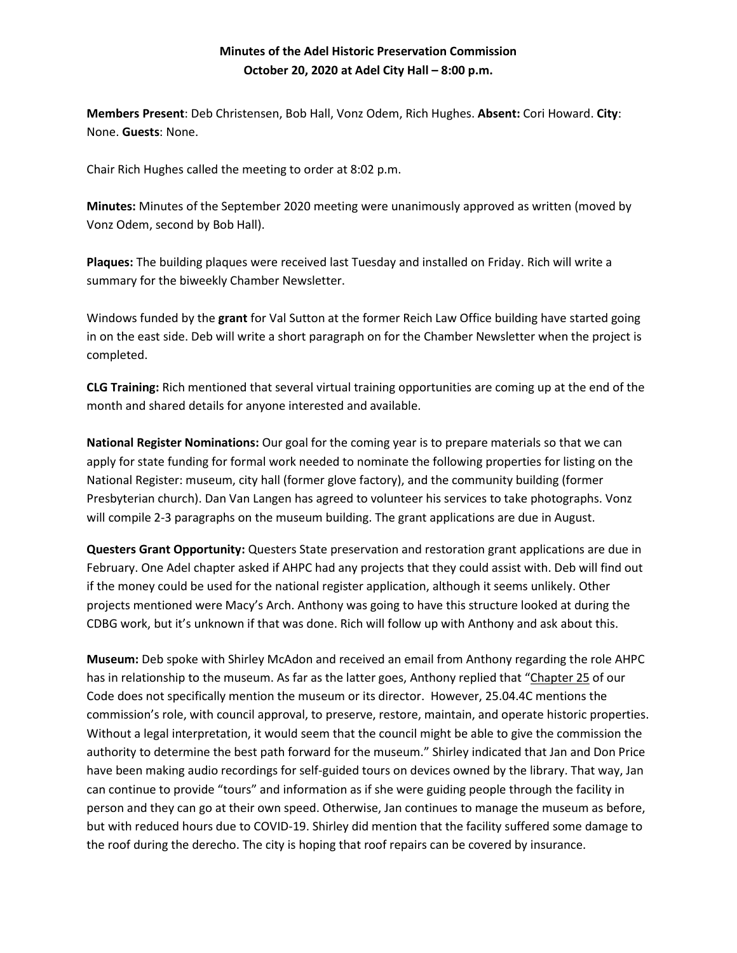## **Minutes of the Adel Historic Preservation Commission October 20, 2020 at Adel City Hall – 8:00 p.m.**

**Members Present**: Deb Christensen, Bob Hall, Vonz Odem, Rich Hughes. **Absent:** Cori Howard. **City**: None. **Guests**: None.

Chair Rich Hughes called the meeting to order at 8:02 p.m.

**Minutes:** Minutes of the September 2020 meeting were unanimously approved as written (moved by Vonz Odem, second by Bob Hall).

**Plaques:** The building plaques were received last Tuesday and installed on Friday. Rich will write a summary for the biweekly Chamber Newsletter.

Windows funded by the **grant** for Val Sutton at the former Reich Law Office building have started going in on the east side. Deb will write a short paragraph on for the Chamber Newsletter when the project is completed.

**CLG Training:** Rich mentioned that several virtual training opportunities are coming up at the end of the month and shared details for anyone interested and available.

**National Register Nominations:** Our goal for the coming year is to prepare materials so that we can apply for state funding for formal work needed to nominate the following properties for listing on the National Register: museum, city hall (former glove factory), and the community building (former Presbyterian church). Dan Van Langen has agreed to volunteer his services to take photographs. Vonz will compile 2-3 paragraphs on the museum building. The grant applications are due in August.

**Questers Grant Opportunity:** Questers State preservation and restoration grant applications are due in February. One Adel chapter asked if AHPC had any projects that they could assist with. Deb will find out if the money could be used for the national register application, although it seems unlikely. Other projects mentioned were Macy's Arch. Anthony was going to have this structure looked at during the CDBG work, but it's unknown if that was done. Rich will follow up with Anthony and ask about this.

**Museum:** Deb spoke with Shirley McAdon and received an email from Anthony regarding the role AHPC has in relationship to the museum. As far as the latter goes, Anthony replied that "[Chapter 25](https://codelibrary.amlegal.com/codes/adel_ia/latest/adel_ia/0-0-0-726) of our Code does not specifically mention the museum or its director. However, 25.04.4C mentions the commission's role, with council approval, to preserve, restore, maintain, and operate historic properties. Without a legal interpretation, it would seem that the council might be able to give the commission the authority to determine the best path forward for the museum." Shirley indicated that Jan and Don Price have been making audio recordings for self-guided tours on devices owned by the library. That way, Jan can continue to provide "tours" and information as if she were guiding people through the facility in person and they can go at their own speed. Otherwise, Jan continues to manage the museum as before, but with reduced hours due to COVID-19. Shirley did mention that the facility suffered some damage to the roof during the derecho. The city is hoping that roof repairs can be covered by insurance.